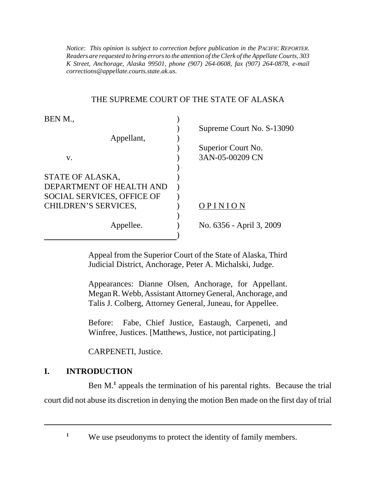*Notice: This opinion is subject to correction before publication in the PACIFIC REPORTER. Readers are requested to bring errors to the attention of the Clerk of the Appellate Courts, 303 K Street, Anchorage, Alaska 99501, phone (907) 264-0608, fax (907) 264-0878, e-mail corrections@appellate.courts.state.ak.us*.

## THE SUPREME COURT OF THE STATE OF ALASKA

| BEN M.,                    |                           |
|----------------------------|---------------------------|
|                            | Supreme Court No. S-13090 |
| Appellant,                 |                           |
|                            | Superior Court No.        |
| V.                         | 3AN-05-00209 CN           |
|                            |                           |
| STATE OF ALASKA,           |                           |
| DEPARTMENT OF HEALTH AND   |                           |
| SOCIAL SERVICES, OFFICE OF |                           |
| CHILDREN'S SERVICES,       | OPINION                   |
|                            |                           |
| Appellee.                  | No. 6356 - April 3, 2009  |
|                            |                           |

Appeal from the Superior Court of the State of Alaska, Third Judicial District, Anchorage, Peter A. Michalski, Judge.

Appearances: Dianne Olsen, Anchorage, for Appellant. Megan R. Webb, Assistant Attorney General, Anchorage, and Talis J. Colberg, Attorney General, Juneau, for Appellee.

Before: Fabe, Chief Justice, Eastaugh, Carpeneti, and Winfree, Justices. [Matthews, Justice, not participating.]

CARPENETI, Justice.

## **I. INTRODUCTION**

Ben M.<sup>1</sup> appeals the termination of his parental rights. Because the trial court did not abuse its discretion in denying the motion Ben made on the first day of trial

<sup>1</sup> We use pseudonyms to protect the identity of family members.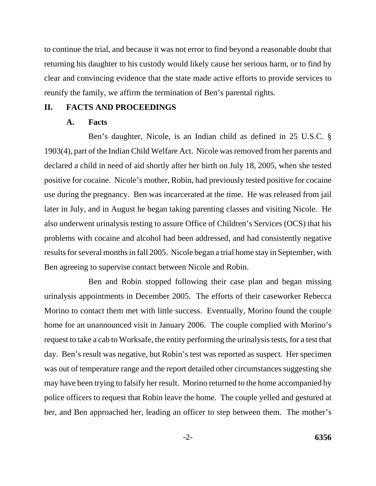to continue the trial, and because it was not error to find beyond a reasonable doubt that returning his daughter to his custody would likely cause her serious harm, or to find by clear and convincing evidence that the state made active efforts to provide services to reunify the family, we affirm the termination of Ben's parental rights.

### **II. FACTS AND PROCEEDINGS**

### **A. Facts**

Ben's daughter, Nicole, is an Indian child as defined in 25 U.S.C. § 1903(4), part of the Indian Child Welfare Act. Nicole was removed from her parents and declared a child in need of aid shortly after her birth on July 18, 2005, when she tested positive for cocaine. Nicole's mother, Robin, had previously tested positive for cocaine use during the pregnancy. Ben was incarcerated at the time. He was released from jail later in July, and in August he began taking parenting classes and visiting Nicole. He also underwent urinalysis testing to assure Office of Children's Services (OCS) that his problems with cocaine and alcohol had been addressed, and had consistently negative results for several months in fall 2005. Nicole began a trial home stay in September, with Ben agreeing to supervise contact between Nicole and Robin.

Ben and Robin stopped following their case plan and began missing urinalysis appointments in December 2005. The efforts of their caseworker Rebecca Morino to contact them met with little success. Eventually, Morino found the couple home for an unannounced visit in January 2006. The couple complied with Morino's request to take a cab to Worksafe, the entity performing the urinalysis tests, for a test that day. Ben's result was negative, but Robin's test was reported as suspect. Her specimen was out of temperature range and the report detailed other circumstances suggesting she may have been trying to falsify her result. Morino returned to the home accompanied by police officers to request that Robin leave the home. The couple yelled and gestured at her, and Ben approached her, leading an officer to step between them. The mother's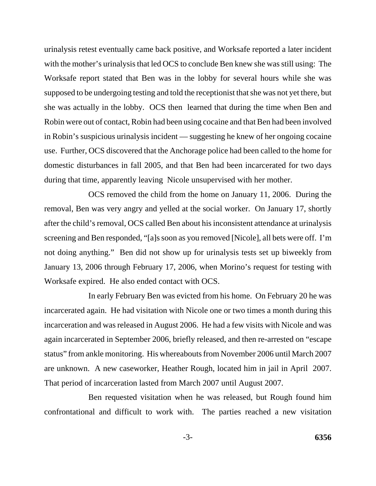urinalysis retest eventually came back positive, and Worksafe reported a later incident with the mother's urinalysis that led OCS to conclude Ben knew she was still using: The Worksafe report stated that Ben was in the lobby for several hours while she was supposed to be undergoing testing and told the receptionist that she was not yet there, but she was actually in the lobby. OCS then learned that during the time when Ben and Robin were out of contact, Robin had been using cocaine and that Ben had been involved in Robin's suspicious urinalysis incident — suggesting he knew of her ongoing cocaine use. Further, OCS discovered that the Anchorage police had been called to the home for domestic disturbances in fall 2005, and that Ben had been incarcerated for two days during that time, apparently leaving Nicole unsupervised with her mother.

OCS removed the child from the home on January 11, 2006. During the removal, Ben was very angry and yelled at the social worker. On January 17, shortly after the child's removal, OCS called Ben about his inconsistent attendance at urinalysis screening and Ben responded, "[a]s soon as you removed [Nicole], all bets were off. I'm not doing anything." Ben did not show up for urinalysis tests set up biweekly from January 13, 2006 through February 17, 2006, when Morino's request for testing with Worksafe expired. He also ended contact with OCS.

In early February Ben was evicted from his home. On February 20 he was incarcerated again. He had visitation with Nicole one or two times a month during this incarceration and was released in August 2006. He had a few visits with Nicole and was again incarcerated in September 2006, briefly released, and then re-arrested on "escape status" from ankle monitoring. His whereabouts from November 2006 until March 2007 are unknown. A new caseworker, Heather Rough, located him in jail in April 2007. That period of incarceration lasted from March 2007 until August 2007.

Ben requested visitation when he was released, but Rough found him confrontational and difficult to work with. The parties reached a new visitation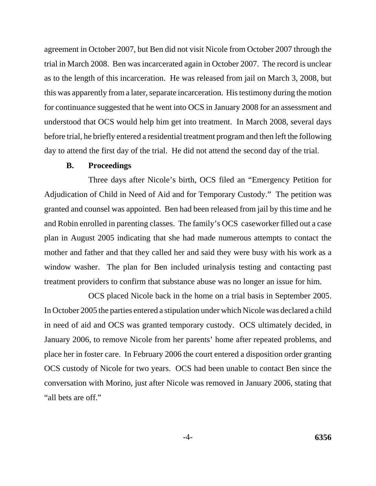agreement in October 2007, but Ben did not visit Nicole from October 2007 through the trial in March 2008. Ben was incarcerated again in October 2007. The record is unclear as to the length of this incarceration. He was released from jail on March 3, 2008, but this was apparently from a later, separate incarceration. His testimony during the motion for continuance suggested that he went into OCS in January 2008 for an assessment and understood that OCS would help him get into treatment. In March 2008, several days before trial, he briefly entered a residential treatment program and then left the following day to attend the first day of the trial. He did not attend the second day of the trial.

### **B. Proceedings**

Three days after Nicole's birth, OCS filed an "Emergency Petition for Adjudication of Child in Need of Aid and for Temporary Custody." The petition was granted and counsel was appointed. Ben had been released from jail by this time and he and Robin enrolled in parenting classes. The family's OCS caseworker filled out a case plan in August 2005 indicating that she had made numerous attempts to contact the mother and father and that they called her and said they were busy with his work as a window washer. The plan for Ben included urinalysis testing and contacting past treatment providers to confirm that substance abuse was no longer an issue for him.

OCS placed Nicole back in the home on a trial basis in September 2005. In October 2005 the parties entered a stipulation under which Nicole was declared a child in need of aid and OCS was granted temporary custody. OCS ultimately decided, in January 2006, to remove Nicole from her parents' home after repeated problems, and place her in foster care. In February 2006 the court entered a disposition order granting OCS custody of Nicole for two years. OCS had been unable to contact Ben since the conversation with Morino, just after Nicole was removed in January 2006, stating that "all bets are off."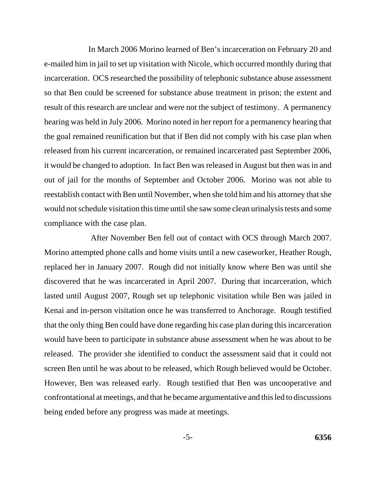In March 2006 Morino learned of Ben's incarceration on February 20 and e-mailed him in jail to set up visitation with Nicole, which occurred monthly during that incarceration. OCS researched the possibility of telephonic substance abuse assessment so that Ben could be screened for substance abuse treatment in prison; the extent and result of this research are unclear and were not the subject of testimony. A permanency hearing was held in July 2006. Morino noted in her report for a permanency hearing that the goal remained reunification but that if Ben did not comply with his case plan when released from his current incarceration, or remained incarcerated past September 2006, it would be changed to adoption. In fact Ben was released in August but then was in and out of jail for the months of September and October 2006. Morino was not able to reestablish contact with Ben until November, when she told him and his attorney that she would not schedule visitation this time until she saw some clean urinalysis tests and some compliance with the case plan.

 After November Ben fell out of contact with OCS through March 2007. Morino attempted phone calls and home visits until a new caseworker, Heather Rough, replaced her in January 2007. Rough did not initially know where Ben was until she discovered that he was incarcerated in April 2007. During that incarceration, which lasted until August 2007, Rough set up telephonic visitation while Ben was jailed in Kenai and in-person visitation once he was transferred to Anchorage. Rough testified that the only thing Ben could have done regarding his case plan during this incarceration would have been to participate in substance abuse assessment when he was about to be released. The provider she identified to conduct the assessment said that it could not screen Ben until he was about to be released, which Rough believed would be October. However, Ben was released early. Rough testified that Ben was uncooperative and confrontational at meetings, and that he became argumentative and this led to discussions being ended before any progress was made at meetings.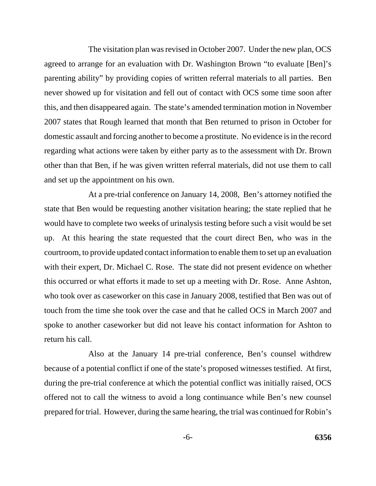The visitation plan was revised in October 2007. Under the new plan, OCS agreed to arrange for an evaluation with Dr. Washington Brown "to evaluate [Ben]'s parenting ability" by providing copies of written referral materials to all parties. Ben never showed up for visitation and fell out of contact with OCS some time soon after this, and then disappeared again. The state's amended termination motion in November 2007 states that Rough learned that month that Ben returned to prison in October for domestic assault and forcing another to become a prostitute. No evidence is in the record regarding what actions were taken by either party as to the assessment with Dr. Brown other than that Ben, if he was given written referral materials, did not use them to call and set up the appointment on his own.

 At a pre-trial conference on January 14, 2008, Ben's attorney notified the state that Ben would be requesting another visitation hearing; the state replied that he would have to complete two weeks of urinalysis testing before such a visit would be set up. At this hearing the state requested that the court direct Ben, who was in the courtroom, to provide updated contact information to enable them to set up an evaluation with their expert, Dr. Michael C. Rose. The state did not present evidence on whether this occurred or what efforts it made to set up a meeting with Dr. Rose. Anne Ashton, who took over as caseworker on this case in January 2008, testified that Ben was out of touch from the time she took over the case and that he called OCS in March 2007 and spoke to another caseworker but did not leave his contact information for Ashton to return his call.

Also at the January 14 pre-trial conference, Ben's counsel withdrew because of a potential conflict if one of the state's proposed witnesses testified. At first, during the pre-trial conference at which the potential conflict was initially raised, OCS offered not to call the witness to avoid a long continuance while Ben's new counsel prepared for trial. However, during the same hearing, the trial was continued for Robin's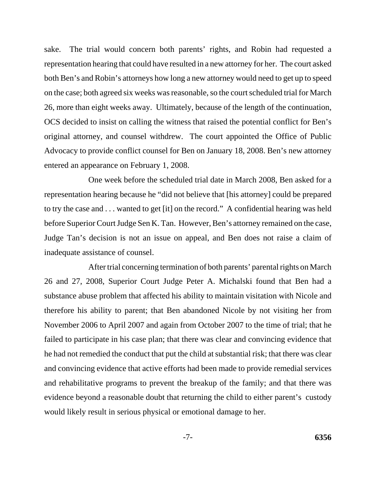sake. The trial would concern both parents' rights, and Robin had requested a representation hearing that could have resulted in a new attorney for her. The court asked both Ben's and Robin's attorneys how long a new attorney would need to get up to speed on the case; both agreed six weeks was reasonable, so the court scheduled trial for March 26, more than eight weeks away. Ultimately, because of the length of the continuation, OCS decided to insist on calling the witness that raised the potential conflict for Ben's original attorney, and counsel withdrew. The court appointed the Office of Public Advocacy to provide conflict counsel for Ben on January 18, 2008. Ben's new attorney entered an appearance on February 1, 2008.

One week before the scheduled trial date in March 2008, Ben asked for a representation hearing because he "did not believe that [his attorney] could be prepared to try the case and . . . wanted to get [it] on the record." A confidential hearing was held before Superior Court Judge Sen K. Tan. However, Ben's attorney remained on the case, Judge Tan's decision is not an issue on appeal, and Ben does not raise a claim of inadequate assistance of counsel.

After trial concerning termination of both parents' parental rights on March 26 and 27, 2008, Superior Court Judge Peter A. Michalski found that Ben had a substance abuse problem that affected his ability to maintain visitation with Nicole and therefore his ability to parent; that Ben abandoned Nicole by not visiting her from November 2006 to April 2007 and again from October 2007 to the time of trial; that he failed to participate in his case plan; that there was clear and convincing evidence that he had not remedied the conduct that put the child at substantial risk; that there was clear and convincing evidence that active efforts had been made to provide remedial services and rehabilitative programs to prevent the breakup of the family; and that there was evidence beyond a reasonable doubt that returning the child to either parent's custody would likely result in serious physical or emotional damage to her.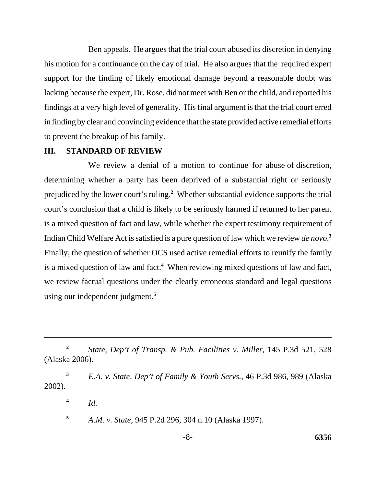Ben appeals. He argues that the trial court abused its discretion in denying his motion for a continuance on the day of trial. He also argues that the required expert support for the finding of likely emotional damage beyond a reasonable doubt was lacking because the expert, Dr. Rose, did not meet with Ben or the child, and reported his findings at a very high level of generality. His final argument is that the trial court erred in finding by clear and convincing evidence that the state provided active remedial efforts to prevent the breakup of his family.

### **III. STANDARD OF REVIEW**

 We review a denial of a motion to continue for abuse of discretion, determining whether a party has been deprived of a substantial right or seriously prejudiced by the lower court's ruling.**<sup>2</sup>** Whether substantial evidence supports the trial court's conclusion that a child is likely to be seriously harmed if returned to her parent is a mixed question of fact and law, while whether the expert testimony requirement of Indian Child Welfare Act is satisfied is a pure question of law which we review *de novo*. **3** Finally, the question of whether OCS used active remedial efforts to reunify the family is a mixed question of law and fact.**<sup>4</sup>** When reviewing mixed questions of law and fact, we review factual questions under the clearly erroneous standard and legal questions using our independent judgment.**<sup>5</sup>** 

**<sup>4</sup>** *Id.* 

**<sup>5</sup>** *A.M. v. State*, 945 P.2d 296, 304 n.10 (Alaska 1997).

**<sup>2</sup>** *State, Dep't of Transp. & Pub. Facilities v. Miller*, 145 P.3d 521, 528 (Alaska 2006).

**<sup>3</sup>** *E.A. v. State, Dep't of Family & Youth Servs.*, 46 P.3d 986, 989 (Alaska 2002).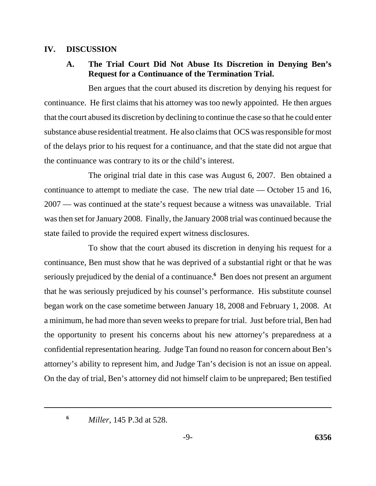## **IV. DISCUSSION**

# **A. The Trial Court Did Not Abuse Its Discretion in Denying Ben's Request for a Continuance of the Termination Trial.**

Ben argues that the court abused its discretion by denying his request for continuance. He first claims that his attorney was too newly appointed. He then argues that the court abused its discretion by declining to continue the case so that he could enter substance abuse residential treatment. He also claims that OCS was responsible for most of the delays prior to his request for a continuance, and that the state did not argue that the continuance was contrary to its or the child's interest.

The original trial date in this case was August 6, 2007. Ben obtained a continuance to attempt to mediate the case. The new trial date — October 15 and 16, 2007 — was continued at the state's request because a witness was unavailable. Trial was then set for January 2008. Finally, the January 2008 trial was continued because the state failed to provide the required expert witness disclosures.

To show that the court abused its discretion in denying his request for a continuance, Ben must show that he was deprived of a substantial right or that he was seriously prejudiced by the denial of a continuance.<sup>6</sup> Ben does not present an argument that he was seriously prejudiced by his counsel's performance. His substitute counsel began work on the case sometime between January 18, 2008 and February 1, 2008. At a minimum, he had more than seven weeks to prepare for trial. Just before trial, Ben had the opportunity to present his concerns about his new attorney's preparedness at a confidential representation hearing. Judge Tan found no reason for concern about Ben's attorney's ability to represent him, and Judge Tan's decision is not an issue on appeal. On the day of trial, Ben's attorney did not himself claim to be unprepared; Ben testified

**<sup>6</sup>** *Miller*, 145 P.3d at 528.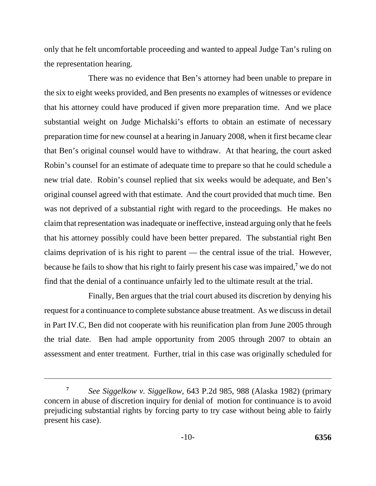only that he felt uncomfortable proceeding and wanted to appeal Judge Tan's ruling on the representation hearing.

There was no evidence that Ben's attorney had been unable to prepare in the six to eight weeks provided, and Ben presents no examples of witnesses or evidence that his attorney could have produced if given more preparation time. And we place substantial weight on Judge Michalski's efforts to obtain an estimate of necessary preparation time for new counsel at a hearing in January 2008, when it first became clear that Ben's original counsel would have to withdraw. At that hearing, the court asked Robin's counsel for an estimate of adequate time to prepare so that he could schedule a new trial date. Robin's counsel replied that six weeks would be adequate, and Ben's original counsel agreed with that estimate. And the court provided that much time. Ben was not deprived of a substantial right with regard to the proceedings. He makes no claim that representation was inadequate or ineffective, instead arguing only that he feels that his attorney possibly could have been better prepared. The substantial right Ben claims deprivation of is his right to parent — the central issue of the trial. However, because he fails to show that his right to fairly present his case was impaired,**<sup>7</sup>** we do not find that the denial of a continuance unfairly led to the ultimate result at the trial.

Finally, Ben argues that the trial court abused its discretion by denying his request for a continuance to complete substance abuse treatment. As we discuss in detail in Part IV.C, Ben did not cooperate with his reunification plan from June 2005 through the trial date. Ben had ample opportunity from 2005 through 2007 to obtain an assessment and enter treatment. Further, trial in this case was originally scheduled for

**<sup>7</sup>** *See Siggelkow v. Siggelkow*, 643 P.2d 985, 988 (Alaska 1982) (primary concern in abuse of discretion inquiry for denial of motion for continuance is to avoid prejudicing substantial rights by forcing party to try case without being able to fairly present his case).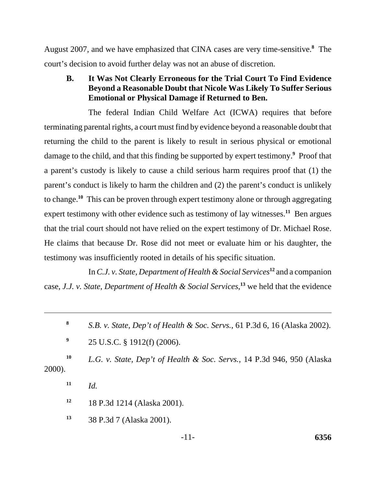August 2007, and we have emphasized that CINA cases are very time-sensitive.**<sup>8</sup>** The court's decision to avoid further delay was not an abuse of discretion.

**B. It Was Not Clearly Erroneous for the Trial Court To Find Evidence Beyond a Reasonable Doubt that Nicole Was Likely To Suffer Serious Emotional or Physical Damage if Returned to Ben.**

The federal Indian Child Welfare Act (ICWA) requires that before terminating parental rights, a court must find by evidence beyond a reasonable doubt that returning the child to the parent is likely to result in serious physical or emotional damage to the child, and that this finding be supported by expert testimony.<sup>9</sup> Proof that a parent's custody is likely to cause a child serious harm requires proof that (1) the parent's conduct is likely to harm the children and (2) the parent's conduct is unlikely to change.**<sup>10</sup>** This can be proven through expert testimony alone or through aggregating expert testimony with other evidence such as testimony of lay witnesses.<sup>11</sup> Ben argues that the trial court should not have relied on the expert testimony of Dr. Michael Rose. He claims that because Dr. Rose did not meet or evaluate him or his daughter, the testimony was insufficiently rooted in details of his specific situation.

In *C.J. v. State, Department of Health & Social Services***<sup>12</sup>** and a companion case, *J.J. v. State, Department of Health & Social Services*, **13** we held that the evidence

**<sup>8</sup>** *S.B. v. State, Dep't of Health & Soc. Servs.*, 61 P.3d 6, 16 (Alaska 2002).

**<sup>9</sup>** 25 U.S.C. § 1912(f) (2006).

**<sup>10</sup>** *L.G. v. State, Dep't of Health & Soc. Servs.*, 14 P.3d 946, 950 (Alaska 2000).

 $11$  *Id.* 

**<sup>12</sup>** 18 P.3d 1214 (Alaska 2001).

**<sup>13</sup>** 38 P.3d 7 (Alaska 2001).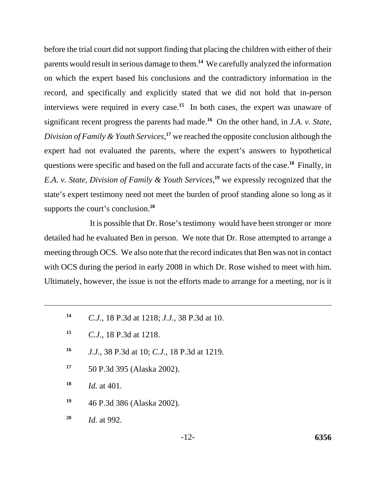before the trial court did not support finding that placing the children with either of their parents would result in serious damage to them.**<sup>14</sup>** We carefully analyzed the information on which the expert based his conclusions and the contradictory information in the record, and specifically and explicitly stated that we did not hold that in-person interviews were required in every case.**<sup>15</sup>** In both cases, the expert was unaware of significant recent progress the parents had made.**<sup>16</sup>** On the other hand, in *J.A. v. State*, *Division of Family & Youth Services*, **<sup>17</sup>** we reached the opposite conclusion although the expert had not evaluated the parents, where the expert's answers to hypothetical questions were specific and based on the full and accurate facts of the case.**<sup>18</sup>** Finally, in *E.A. v. State, Division of Family & Youth Services*, **<sup>19</sup>** we expressly recognized that the state's expert testimony need not meet the burden of proof standing alone so long as it supports the court's conclusion.**<sup>20</sup>**

 It is possible that Dr. Rose's testimony would have been stronger or more detailed had he evaluated Ben in person. We note that Dr. Rose attempted to arrange a meeting through OCS. We also note that the record indicates that Ben was not in contact with OCS during the period in early 2008 in which Dr. Rose wished to meet with him. Ultimately, however, the issue is not the efforts made to arrange for a meeting, nor is it

- **<sup>14</sup>** *C.J.*, 18 P.3d at 1218; *J.J.*, 38 P.3d at 10.
- **<sup>15</sup>** *C.J.*, 18 P.3d at 1218.
- **<sup>16</sup>** *J.J.*, 38 P.3d at 10; *C.J.*, 18 P.3d at 1219.
- **<sup>17</sup>** 50 P.3d 395 (Alaska 2002).
- **<sup>18</sup>** *Id.* at 401.
- **<sup>19</sup>** 46 P.3d 386 (Alaska 2002).
- **<sup>20</sup>** *Id.* at 992.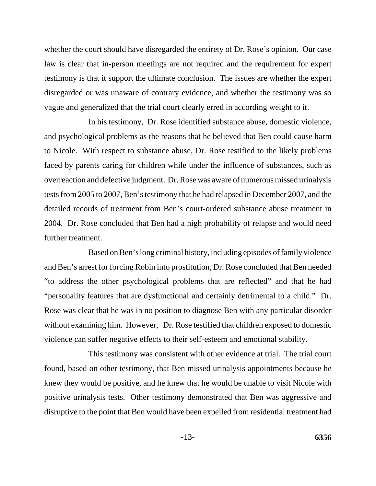whether the court should have disregarded the entirety of Dr. Rose's opinion. Our case law is clear that in-person meetings are not required and the requirement for expert testimony is that it support the ultimate conclusion. The issues are whether the expert disregarded or was unaware of contrary evidence, and whether the testimony was so vague and generalized that the trial court clearly erred in according weight to it.

In his testimony, Dr. Rose identified substance abuse, domestic violence, and psychological problems as the reasons that he believed that Ben could cause harm to Nicole. With respect to substance abuse, Dr. Rose testified to the likely problems faced by parents caring for children while under the influence of substances, such as overreaction and defective judgment. Dr. Rose was aware of numerous missed urinalysis tests from 2005 to 2007, Ben's testimony that he had relapsed in December 2007, and the detailed records of treatment from Ben's court-ordered substance abuse treatment in 2004. Dr. Rose concluded that Ben had a high probability of relapse and would need further treatment.

Based on Ben's long criminal history, including episodes of family violence and Ben's arrest for forcing Robin into prostitution, Dr. Rose concluded that Ben needed "to address the other psychological problems that are reflected" and that he had "personality features that are dysfunctional and certainly detrimental to a child." Dr. Rose was clear that he was in no position to diagnose Ben with any particular disorder without examining him. However, Dr. Rose testified that children exposed to domestic violence can suffer negative effects to their self-esteem and emotional stability.

This testimony was consistent with other evidence at trial. The trial court found, based on other testimony, that Ben missed urinalysis appointments because he knew they would be positive, and he knew that he would be unable to visit Nicole with positive urinalysis tests. Other testimony demonstrated that Ben was aggressive and disruptive to the point that Ben would have been expelled from residential treatment had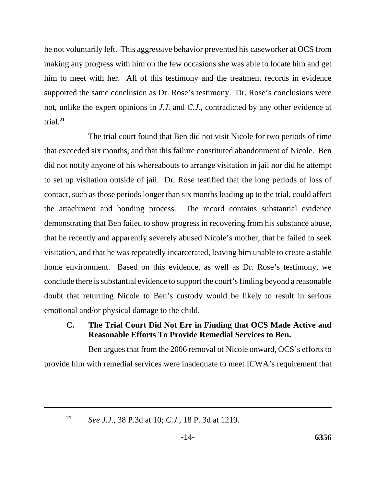he not voluntarily left. This aggressive behavior prevented his caseworker at OCS from making any progress with him on the few occasions she was able to locate him and get him to meet with her. All of this testimony and the treatment records in evidence supported the same conclusion as Dr. Rose's testimony. Dr. Rose's conclusions were not, unlike the expert opinions in *J.J*. and *C.J.*, contradicted by any other evidence at trial.**<sup>21</sup>**

The trial court found that Ben did not visit Nicole for two periods of time that exceeded six months, and that this failure constituted abandonment of Nicole. Ben did not notify anyone of his whereabouts to arrange visitation in jail nor did he attempt to set up visitation outside of jail. Dr. Rose testified that the long periods of loss of contact, such as those periods longer than six months leading up to the trial, could affect the attachment and bonding process. The record contains substantial evidence demonstrating that Ben failed to show progress in recovering from his substance abuse, that he recently and apparently severely abused Nicole's mother, that he failed to seek visitation, and that he was repeatedly incarcerated, leaving him unable to create a stable home environment. Based on this evidence, as well as Dr. Rose's testimony, we conclude there is substantial evidence to support the court's finding beyond a reasonable doubt that returning Nicole to Ben's custody would be likely to result in serious emotional and/or physical damage to the child.

# **C. The Trial Court Did Not Err in Finding that OCS Made Active and Reasonable Efforts To Provide Remedial Services to Ben.**

Ben argues that from the 2006 removal of Nicole onward, OCS's efforts to provide him with remedial services were inadequate to meet ICWA's requirement that

**<sup>21</sup>** *See J.J.*, 38 P.3d at 10; *C.J.*, 18 P. 3d at 1219.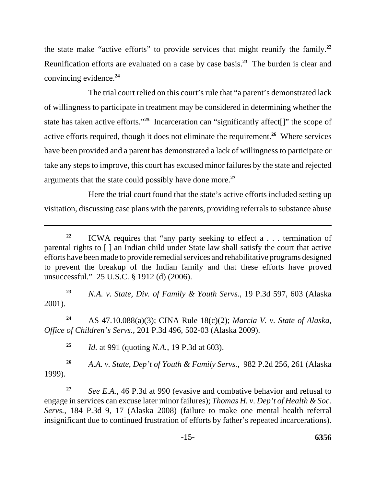the state make "active efforts" to provide services that might reunify the family.**<sup>22</sup>** Reunification efforts are evaluated on a case by case basis.**<sup>23</sup>** The burden is clear and convincing evidence.**<sup>24</sup>**

The trial court relied on this court's rule that "a parent's demonstrated lack of willingness to participate in treatment may be considered in determining whether the state has taken active efforts."**<sup>25</sup>** Incarceration can "significantly affect[]" the scope of active efforts required, though it does not eliminate the requirement.**<sup>26</sup>** Where services have been provided and a parent has demonstrated a lack of willingness to participate or take any steps to improve, this court has excused minor failures by the state and rejected arguments that the state could possibly have done more.**<sup>27</sup>**

Here the trial court found that the state's active efforts included setting up visitation, discussing case plans with the parents, providing referrals to substance abuse

**<sup>23</sup>** *N.A. v. State, Div. of Family & Youth Servs.*, 19 P.3d 597, 603 (Alaska 2001).

**<sup>24</sup>** AS 47.10.088(a)(3); CINA Rule 18(c)(2); *Marcia V. v. State of Alaska, Office of Children's Servs.*, 201 P.3d 496, 502-03 (Alaska 2009).

**<sup>25</sup>** *Id.* at 991 (quoting *N.A.*, 19 P.3d at 603).

**<sup>26</sup>** *A.A. v. State*, *Dep't of Youth & Family Servs.*, 982 P.2d 256, 261 (Alaska 1999).

**<sup>27</sup>** *See E.A.*, 46 P.3d at 990 (evasive and combative behavior and refusal to engage in services can excuse later minor failures); *Thomas H. v. Dep't of Health & Soc. Servs.*, 184 P.3d 9, 17 (Alaska 2008) (failure to make one mental health referral insignificant due to continued frustration of efforts by father's repeated incarcerations).

**<sup>22</sup>** ICWA requires that "any party seeking to effect a . . . termination of parental rights to [ ] an Indian child under State law shall satisfy the court that active efforts have been made to provide remedial services and rehabilitative programs designed to prevent the breakup of the Indian family and that these efforts have proved unsuccessful." 25 U.S.C. § 1912 (d) (2006).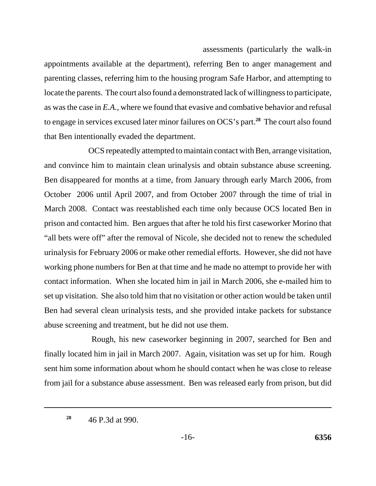### assessments (particularly the walk-in

appointments available at the department), referring Ben to anger management and parenting classes, referring him to the housing program Safe Harbor, and attempting to locate the parents. The court also found a demonstrated lack of willingness to participate, as was the case in *E.A.*, where we found that evasive and combative behavior and refusal to engage in services excused later minor failures on OCS's part.**<sup>28</sup>** The court also found that Ben intentionally evaded the department.

OCS repeatedly attempted to maintain contact with Ben, arrange visitation, and convince him to maintain clean urinalysis and obtain substance abuse screening. Ben disappeared for months at a time, from January through early March 2006, from October 2006 until April 2007, and from October 2007 through the time of trial in March 2008. Contact was reestablished each time only because OCS located Ben in prison and contacted him. Ben argues that after he told his first caseworker Morino that "all bets were off" after the removal of Nicole, she decided not to renew the scheduled urinalysis for February 2006 or make other remedial efforts. However, she did not have working phone numbers for Ben at that time and he made no attempt to provide her with contact information. When she located him in jail in March 2006, she e-mailed him to set up visitation. She also told him that no visitation or other action would be taken until Ben had several clean urinalysis tests, and she provided intake packets for substance abuse screening and treatment, but he did not use them.

 Rough, his new caseworker beginning in 2007, searched for Ben and finally located him in jail in March 2007. Again, visitation was set up for him. Rough sent him some information about whom he should contact when he was close to release from jail for a substance abuse assessment. Ben was released early from prison, but did

**<sup>28</sup>** 46 P.3d at 990.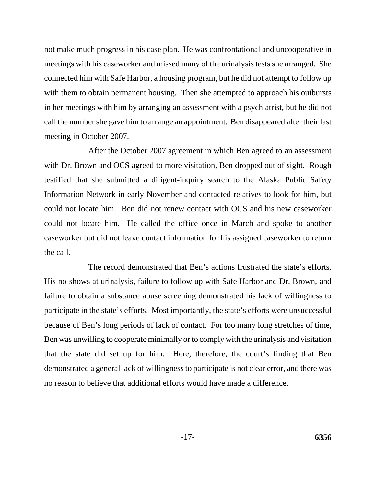not make much progress in his case plan. He was confrontational and uncooperative in meetings with his caseworker and missed many of the urinalysis tests she arranged. She connected him with Safe Harbor, a housing program, but he did not attempt to follow up with them to obtain permanent housing. Then she attempted to approach his outbursts in her meetings with him by arranging an assessment with a psychiatrist, but he did not call the number she gave him to arrange an appointment. Ben disappeared after their last meeting in October 2007.

After the October 2007 agreement in which Ben agreed to an assessment with Dr. Brown and OCS agreed to more visitation, Ben dropped out of sight. Rough testified that she submitted a diligent-inquiry search to the Alaska Public Safety Information Network in early November and contacted relatives to look for him, but could not locate him. Ben did not renew contact with OCS and his new caseworker could not locate him. He called the office once in March and spoke to another caseworker but did not leave contact information for his assigned caseworker to return the call.

The record demonstrated that Ben's actions frustrated the state's efforts. His no-shows at urinalysis, failure to follow up with Safe Harbor and Dr. Brown, and failure to obtain a substance abuse screening demonstrated his lack of willingness to participate in the state's efforts. Most importantly, the state's efforts were unsuccessful because of Ben's long periods of lack of contact. For too many long stretches of time, Ben was unwilling to cooperate minimally or to comply with the urinalysis and visitation that the state did set up for him. Here, therefore, the court's finding that Ben demonstrated a general lack of willingness to participate is not clear error, and there was no reason to believe that additional efforts would have made a difference.